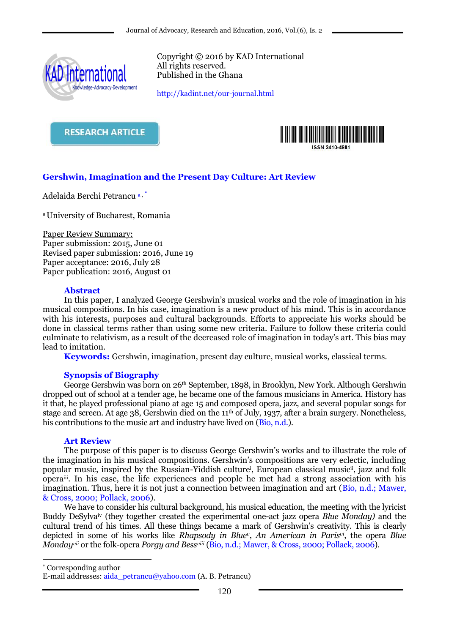

Copyright © 2016 by KAD International All rights reserved. Published in the Ghana

<http://kadint.net/our-journal.html>





# **Gershwin, Imagination and the Present Day Culture: Art Review**

Adelaida Berchi Petrancu a, \*

<sup>a</sup>University of Bucharest, Romania

Paper Review Summary: Paper submission: 2015, June 01 Revised paper submission: 2016, June 19 Paper acceptance: 2016, July 28 Paper publication: 2016, August 01

## **Abstract**

In this paper, I analyzed George Gershwin's musical works and the role of imagination in his musical compositions. In his case, imagination is a new product of his mind. This is in accordance with his interests, purposes and cultural backgrounds. Efforts to appreciate his works should be done in classical terms rather than using some new criteria. Failure to follow these criteria could culminate to relativism, as a result of the decreased role of imagination in today's art. This bias may lead to imitation.

**Keywords:** Gershwin, imagination, present day culture, musical works, classical terms.

## **Synopsis of Biography**

George Gershwin was born on 26th September, 1898, in Brooklyn, New York. Although Gershwin dropped out of school at a tender age, he became one of the famous musicians in America. History has it that, he played professional piano at age 15 and composed opera, jazz, and several popular songs for stage and screen. At age 38, Gershwin died on the 11<sup>th</sup> of July, 1937, after a brain surgery. Nonetheless, his contributions to the music art and industry have lived on (Bio, n.d.).

#### **Art Review**

The purpose of this paper is to discuss George Gershwin's works and to illustrate the role of the imagination in his musical compositions. Gershwin's compositions are very eclectic, including popular music, inspired by the Russian-Yiddish culture<sup>i</sup> , European classical musicii, jazz and folk operaiii. In his case, the life experiences and people he met had a strong association with his imagination. Thus, here it is not just a connection between imagination and art (Bio, n.d.; Mawer, & Cross, 2000; Pollack, 2006).

We have to consider his cultural background, his musical education, the meeting with the lyricist Buddy DeSylvaiv (they together created the experimental one-act jazz opera *Blue Monday)* and the cultural trend of his times. All these things became a mark of Gershwin's creativity. This is clearly depicted in some of his works like *Rhapsody in Blue<sup>v</sup>* , *An American in Parisvi*, the opera *Blue Mondayvii* or the folk-opera *Porgy and Bessviii* (Bio, n.d.; Mawer, & Cross, 2000; Pollack, 2006).

\* Corresponding author

1

E-mail addresses: aida\_petrancu@yahoo.com (A. B. Petrancu)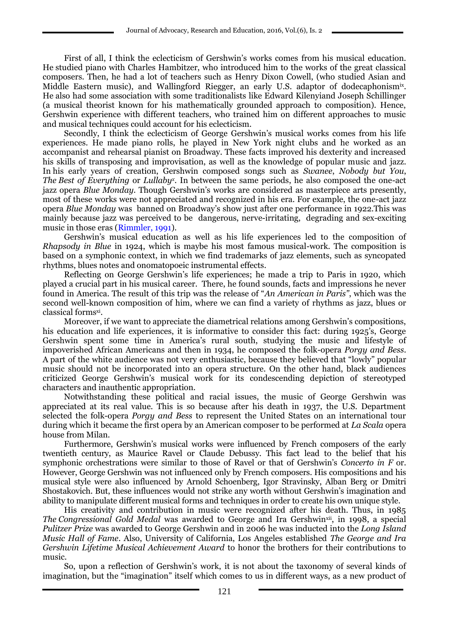First of all, I think the eclecticism of Gershwin's works comes from his musical education. He studied piano with Charles Hambitzer, who introduced him to the works of the great classical composers. Then, he had a lot of teachers such as Henry Dixon Cowell, (who studied Asian and Middle Eastern music), and Wallingford Riegger, an early U.S. adaptor of dodecaphonism<sup>ix</sup>. He also had some association with some traditionalists like Edward Kilenyiand Joseph Schillinger (a musical theorist known for his mathematically grounded approach to composition). Hence, Gershwin experience with different teachers, who trained him on different approaches to music and musical techniques could account for his eclecticism.

Secondly, I think the eclecticism of George Gershwin's musical works comes from his life experiences. He made piano rolls, he played in New York night clubs and he worked as an accompanist and rehearsal pianist on Broadway. These facts improved his dexterity and increased his skills of transposing and improvisation, as well as the knowledge of popular music and jazz. In his early years of creation, Gershwin composed songs such as *Swanee*, *Nobody but You*, *The Best of Everything* or *Lullaby<sup>x</sup> .* In between the same periods, he also composed the one-act jazz opera *Blue Monday*. Though Gershwin's works are considered as masterpiece arts presently, most of these works were not appreciated and recognized in his era. For example, the one-act jazz opera *Blue Monday* was banned on Broadway's show just after one performance in 1922.This was mainly because jazz was perceived to be dangerous, nerve-irritating, degrading and sex-exciting music in those eras (Rimmler, 1991).

Gershwin's musical education as well as his life experiences led to the composition of *Rhapsody in Blue* in 1924, which is maybe his most famous musical-work. The composition is based on a symphonic context, in which we find trademarks of jazz elements, such as syncopated rhythms, blues notes and onomatopoeic instrumental effects.

Reflecting on George Gershwin's life experiences; he made a trip to Paris in 1920, which played a crucial part in his musical career. There, he found sounds, facts and impressions he never found in America. The result of this trip was the release of "*An American in Paris"*, which was the second well-known composition of him, where we can find a variety of rhythms as jazz, blues or classical formsxi .

Moreover, if we want to appreciate the diametrical relations among Gershwin's compositions, his education and life experiences, it is informative to consider this fact: during 1925's, George Gershwin spent some time in America's rural south, studying the music and lifestyle of impoverished African Americans and then in 1934, he composed the folk-opera *Porgy and Bess*. A part of the white audience was not very enthusiastic, because they believed that "lowly" popular music should not be incorporated into an opera structure. On the other hand, black audiences criticized George Gershwin's musical work for its condescending depiction of stereotyped characters and inauthentic appropriation.

Notwithstanding these political and racial issues, the music of George Gershwin was appreciated at its real value. This is so because after his death in 1937, the U.S. Department selected the folk-opera *Porgy and Bess* to represent the United States on an international tour during which it became the first opera by an American composer to be performed at *La Scala* opera house from Milan.

Furthermore, Gershwin's musical works were influenced by French composers of the early twentieth century, as Maurice Ravel or Claude Debussy. This fact lead to the belief that his symphonic orchestrations were similar to those of Ravel or that of Gershwin's *Concerto in F* or. However, George Gershwin was not influenced only by French composers. His compositions and his musical style were also influenced by Arnold Schoenberg, Igor Stravinsky, Alban Berg or Dmitri Shostakovich. But, these influences would not strike any worth without Gershwin's imagination and ability to manipulate different musical forms and techniques in order to create his own unique style.

His creativity and contribution in music were recognized after his death. Thus, in 1985 *The Congressional Gold Medal* was awarded to George and Ira Gershwinxii, in 1998, a special *Pulitzer Prize* was awarded to George Gershwin and in 2006 he was inducted into the *Long Island Music Hall of Fame*. Also, University of California, Los Angeles established *The George and Ira Gershwin Lifetime Musical Achievement Award* to honor the brothers for their contributions to music.

So, upon a reflection of Gershwin's work, it is not about the taxonomy of several kinds of imagination, but the "imagination" itself which comes to us in different ways, as a new product of